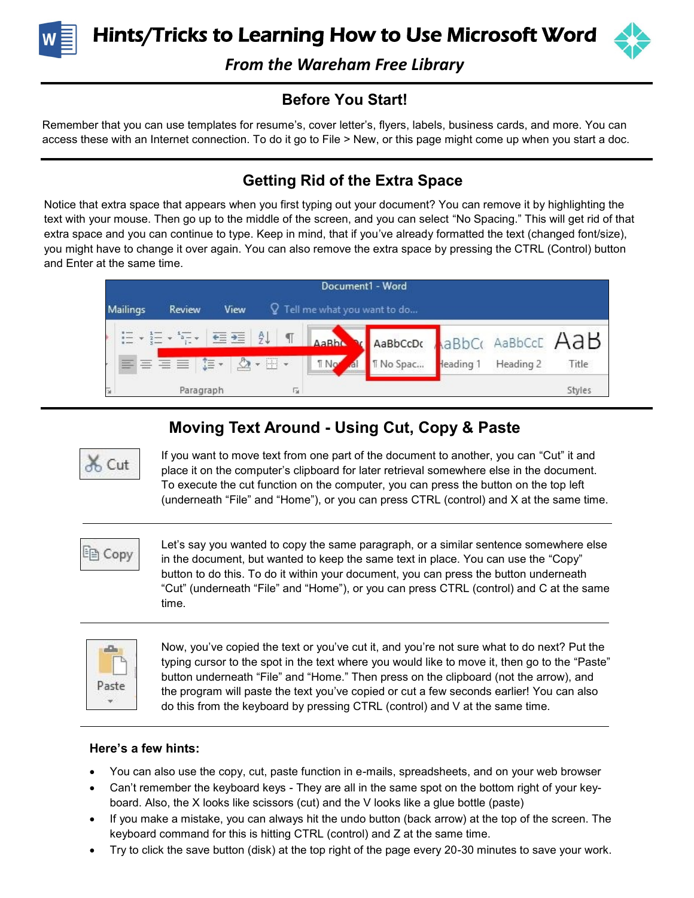

Hints/Tricks to Learning How to Use Microsoft Word



*From the Wareham Free Library* 

### **Before You Start!**

Remember that you can use templates for resume's, cover letter's, flyers, labels, business cards, and more. You can access these with an Internet connection. To do it go to File > New, or this page might come up when you start a doc.

## **Getting Rid of the Extra Space**

Notice that extra space that appears when you first typing out your document? You can remove it by highlighting the text with your mouse. Then go up to the middle of the screen, and you can select "No Spacing." This will get rid of that extra space and you can continue to type. Keep in mind, that if you've already formatted the text (changed font/size), you might have to change it over again. You can also remove the extra space by pressing the CTRL (Control) button and Enter at the same time.



# **Moving Text Around - Using Cut, Copy & Paste**



If you want to move text from one part of the document to another, you can "Cut" it and place it on the computer's clipboard for later retrieval somewhere else in the document. To execute the cut function on the computer, you can press the button on the top left (underneath "File" and "Home"), or you can press CTRL (control) and X at the same time.

ling Copy

Let's say you wanted to copy the same paragraph, or a similar sentence somewhere else in the document, but wanted to keep the same text in place. You can use the "Copy" button to do this. To do it within your document, you can press the button underneath "Cut" (underneath "File" and "Home"), or you can press CTRL (control) and C at the same time.



Now, you've copied the text or you've cut it, and you're not sure what to do next? Put the typing cursor to the spot in the text where you would like to move it, then go to the "Paste" button underneath "File" and "Home." Then press on the clipboard (not the arrow), and the program will paste the text you've copied or cut a few seconds earlier! You can also do this from the keyboard by pressing CTRL (control) and V at the same time.

### **Here's a few hints:**

- You can also use the copy, cut, paste function in e-mails, spreadsheets, and on your web browser
- Can't remember the keyboard keys They are all in the same spot on the bottom right of your keyboard. Also, the X looks like scissors (cut) and the V looks like a glue bottle (paste)
- If you make a mistake, you can always hit the undo button (back arrow) at the top of the screen. The keyboard command for this is hitting CTRL (control) and Z at the same time.
- Try to click the save button (disk) at the top right of the page every 20-30 minutes to save your work.